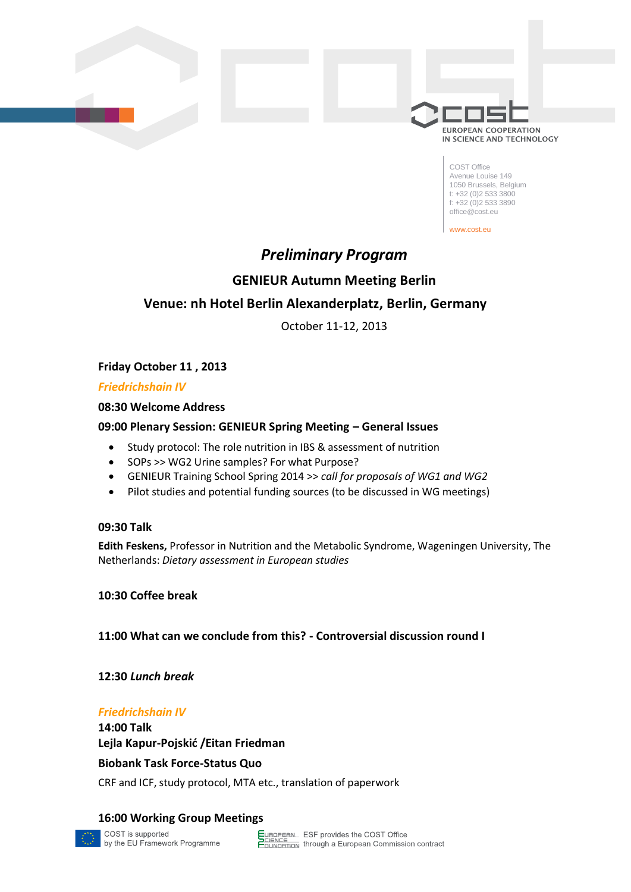

COST Office Avenue Louise 149 1050 Brussels, Belgium t: +32 (0)2 533 3800 f:  $+32(0)253333890$ office@cost.eu

www.cost.eu

# *Preliminary Program*

## **GENIEUR Autumn Meeting Berlin**

## **Venue: nh Hotel Berlin Alexanderplatz, Berlin, Germany**

October 11-12, 2013

## **Friday October 11 , 2013**

## *Friedrichshain IV*

### **08:30 Welcome Address**

## **09:00 Plenary Session: GENIEUR Spring Meeting – General Issues**

- Study protocol: The role nutrition in IBS & assessment of nutrition
- SOPs >> WG2 Urine samples? For what Purpose?
- GENIEUR Training School Spring 2014 >> *call for proposals of WG1 and WG2*
- Pilot studies and potential funding sources (to be discussed in WG meetings)

## **09:30 Talk**

**Edith Feskens,** Professor in Nutrition and the Metabolic Syndrome, Wageningen University, The Netherlands: *Dietary assessment in European studies*

## **10:30 Coffee break**

## **11:00 What can we conclude from this? - Controversial discussion round I**

## **12:30** *Lunch break*

#### *Friedrichshain IV*

**14:00 Talk Lejla Kapur-Pojskić /Eitan Friedman**

## **Biobank Task Force-Status Quo**

CRF and ICF, study protocol, MTA etc., translation of paperwork

## **16:00 Working Group Meetings**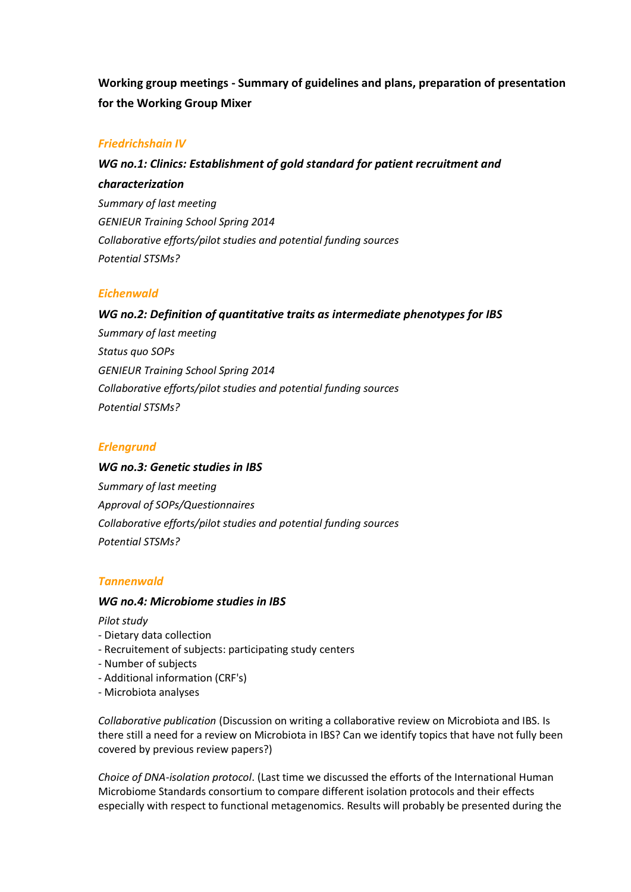**Working group meetings - Summary of guidelines and plans, preparation of presentation for the Working Group Mixer**

#### *Friedrichshain IV*

*WG no.1: Clinics: Establishment of gold standard for patient recruitment and characterization Summary of last meeting GENIEUR Training School Spring 2014 Collaborative efforts/pilot studies and potential funding sources Potential STSMs?*

#### *Eichenwald*

*WG no.2: Definition of quantitative traits as intermediate phenotypes for IBS Summary of last meeting Status quo SOPs GENIEUR Training School Spring 2014 Collaborative efforts/pilot studies and potential funding sources Potential STSMs?*

#### *Erlengrund*

*WG no.3: Genetic studies in IBS Summary of last meeting Approval of SOPs/Questionnaires Collaborative efforts/pilot studies and potential funding sources Potential STSMs?*

#### *Tannenwald*

#### *WG no.4: Microbiome studies in IBS*

*Pilot study*

- Dietary data collection
- Recruitement of subjects: participating study centers
- Number of subjects
- Additional information (CRF's)
- Microbiota analyses

*Collaborative publication* (Discussion on writing a collaborative review on Microbiota and IBS. Is there still a need for a review on Microbiota in IBS? Can we identify topics that have not fully been covered by previous review papers?)

*Choice of DNA-isolation protocol*. (Last time we discussed the efforts of the International Human Microbiome Standards consortium to compare different isolation protocols and their effects especially with respect to functional metagenomics. Results will probably be presented during the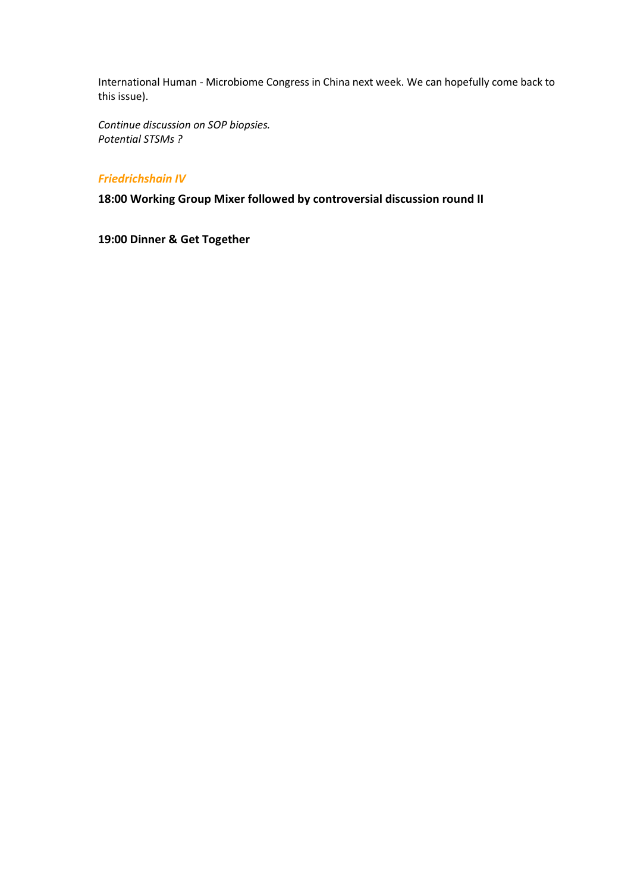International Human - Microbiome Congress in China next week. We can hopefully come back to this issue).

*Continue discussion on SOP biopsies. Potential STSMs ?*

### *Friedrichshain IV*

**18:00 Working Group Mixer followed by controversial discussion round II**

**19:00 Dinner & Get Together**